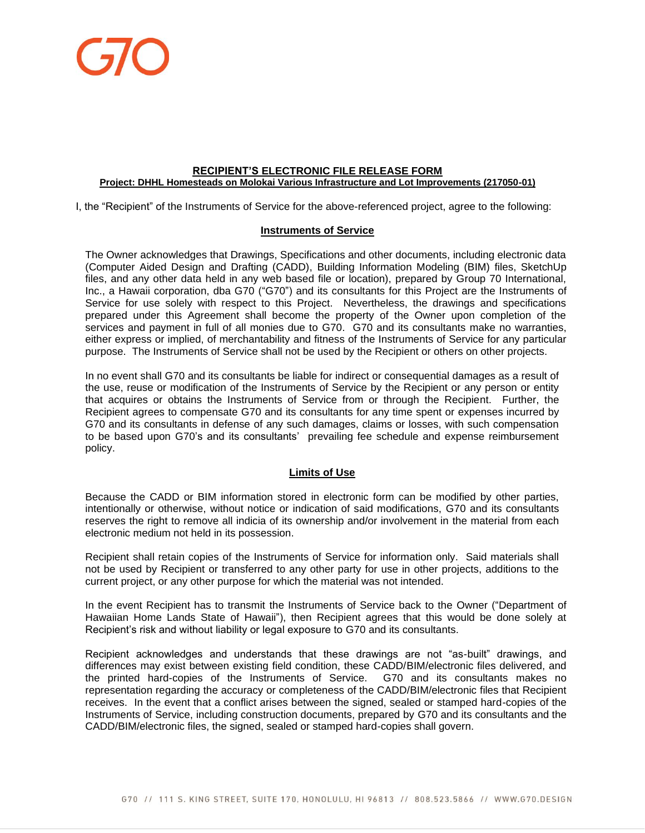

## **RECIPIENT'S ELECTRONIC FILE RELEASE FORM Project: DHHL Homesteads on Molokai Various Infrastructure and Lot Improvements (217050-01)**

I, the "Recipient" of the Instruments of Service for the above-referenced project, agree to the following:

## **Instruments of Service**

The Owner acknowledges that Drawings, Specifications and other documents, including electronic data (Computer Aided Design and Drafting (CADD), Building Information Modeling (BIM) files, SketchUp files, and any other data held in any web based file or location), prepared by Group 70 International, Inc., a Hawaii corporation, dba G70 ("G70") and its consultants for this Project are the Instruments of Service for use solely with respect to this Project. Nevertheless, the drawings and specifications prepared under this Agreement shall become the property of the Owner upon completion of the services and payment in full of all monies due to G70. G70 and its consultants make no warranties, either express or implied, of merchantability and fitness of the Instruments of Service for any particular purpose. The Instruments of Service shall not be used by the Recipient or others on other projects.

In no event shall G70 and its consultants be liable for indirect or consequential damages as a result of the use, reuse or modification of the Instruments of Service by the Recipient or any person or entity that acquires or obtains the Instruments of Service from or through the Recipient. Further, the Recipient agrees to compensate G70 and its consultants for any time spent or expenses incurred by G70 and its consultants in defense of any such damages, claims or losses, with such compensation to be based upon G70's and its consultants' prevailing fee schedule and expense reimbursement policy.

## **Limits of Use**

Because the CADD or BIM information stored in electronic form can be modified by other parties, intentionally or otherwise, without notice or indication of said modifications, G70 and its consultants reserves the right to remove all indicia of its ownership and/or involvement in the material from each electronic medium not held in its possession.

Recipient shall retain copies of the Instruments of Service for information only. Said materials shall not be used by Recipient or transferred to any other party for use in other projects, additions to the current project, or any other purpose for which the material was not intended.

In the event Recipient has to transmit the Instruments of Service back to the Owner ("Department of Hawaiian Home Lands State of Hawaii"), then Recipient agrees that this would be done solely at Recipient's risk and without liability or legal exposure to G70 and its consultants.

Recipient acknowledges and understands that these drawings are not "as-built" drawings, and differences may exist between existing field condition, these CADD/BIM/electronic files delivered, and the printed hard-copies of the Instruments of Service. G70 and its consultants makes no representation regarding the accuracy or completeness of the CADD/BIM/electronic files that Recipient receives. In the event that a conflict arises between the signed, sealed or stamped hard-copies of the Instruments of Service, including construction documents, prepared by G70 and its consultants and the CADD/BIM/electronic files, the signed, sealed or stamped hard-copies shall govern.